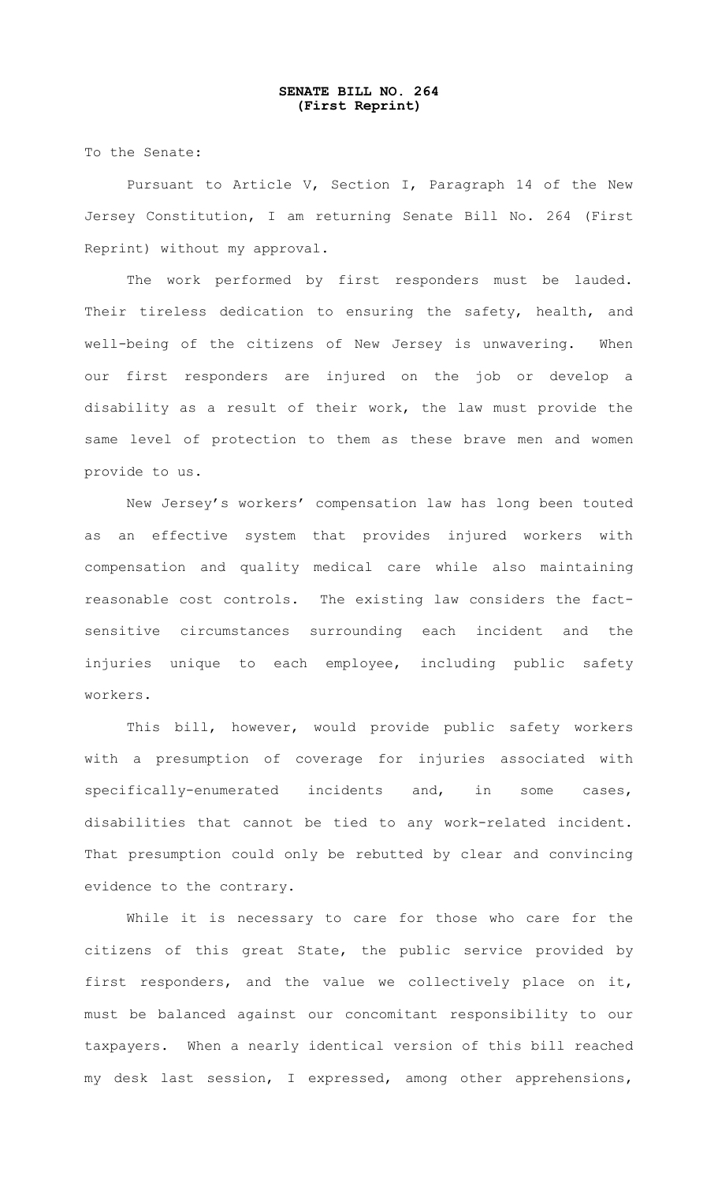## **SENATE BILL NO. 264 (First Reprint)**

To the Senate:

Pursuant to Article V, Section I, Paragraph 14 of the New Jersey Constitution, I am returning Senate Bill No. 264 (First Reprint) without my approval.

The work performed by first responders must be lauded. Their tireless dedication to ensuring the safety, health, and well-being of the citizens of New Jersey is unwavering. When our first responders are injured on the job or develop a disability as a result of their work, the law must provide the same level of protection to them as these brave men and women provide to us.

New Jersey's workers' compensation law has long been touted as an effective system that provides injured workers with compensation and quality medical care while also maintaining reasonable cost controls. The existing law considers the factsensitive circumstances surrounding each incident and the injuries unique to each employee, including public safety workers.

This bill, however, would provide public safety workers with a presumption of coverage for injuries associated with specifically-enumerated incidents and, in some cases, disabilities that cannot be tied to any work-related incident. That presumption could only be rebutted by clear and convincing evidence to the contrary.

While it is necessary to care for those who care for the citizens of this great State, the public service provided by first responders, and the value we collectively place on it, must be balanced against our concomitant responsibility to our taxpayers. When a nearly identical version of this bill reached my desk last session, I expressed, among other apprehensions,